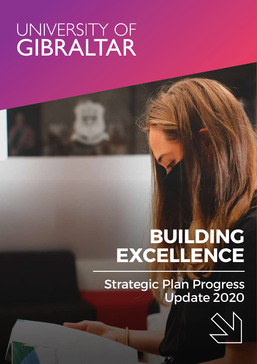# UNIVERSITY OF<br>GIBRALTAR

### **BUILDING EXCELLENCE**

#### Strategic Plan Progress Update 2020

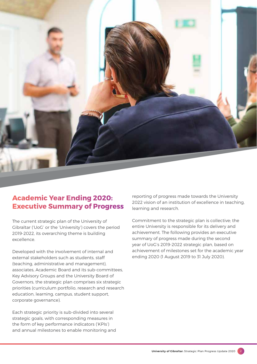

#### **Academic Year Ending 2020: Executive Summary of Progress**

The current strategic plan of the University of Gibraltar ('UoG' or the 'University') covers the period 2019-2022, its overarching theme is building excellence.

Developed with the involvement of internal and external stakeholders such as students, staff (teaching, administrative and management), associates, Academic Board and its sub-committees, Key Advisory Groups and the University Board of Governors, the strategic plan comprises six strategic priorities (curriculum portfolio, research and research education, learning, campus, student support, corporate governance).

Each strategic priority is sub-divided into several strategic goals, with corresponding measures in the form of key performance indicators ('KPIs') and annual milestones to enable monitoring and

reporting of progress made towards the University 2022 vision of an institution of excellence in teaching, learning and research.

Commitment to the strategic plan is collective; the entire University is responsible for its delivery and achievement. The following provides an executive summary of progress made during the second year of UoG's 2019-2022 strategic plan, based on achievement of milestones set for the academic year ending 2020 (1 August 2019 to 31 July 2020).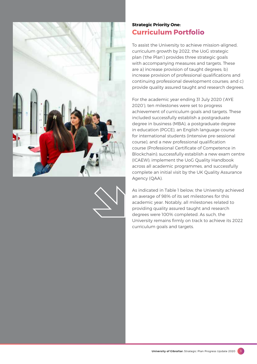



#### **Strategic Priority One: Curriculum Portfolio**

To assist the University to achieve mission-aligned, curriculum growth by 2022, the UoG strategic plan ('the Plan') provides three strategic goals with accompanying measures and targets. These are a) increase provision of taught degrees; b) increase provision of professional qualifications and continuing professional development courses; and c) provide quality assured taught and research degrees.

For the academic year ending 31 July 2020 ('AYE 2020'), ten milestones were set to progress achievement of curriculum goals and targets. These included successfully establish a postgraduate degree in business (MBA), a postgraduate degree in education (PGCE), an English language course for international students (intensive pre-sessional course), and a new professional qualification course (Professional Certificate of Competence in Blockchain); successfully establish a new exam centre (ICAEW); implement the UoG Quality Handbook across all academic programmes, and successfully complete an initial visit by the UK Quality Assurance Agency (QAA).

As indicated in Table 1 below, the University achieved an average of 98% of its set milestones for this academic year. Notably, all milestones related to providing quality assured taught and research degrees were 100% completed. As such, the University remains firmly on track to achieve its 2022 curriculum goals and targets.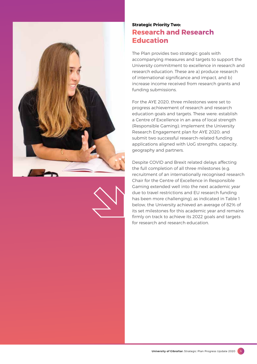



#### **Strategic Priority Two: Research and Research Education**

The Plan provides two strategic goals with accompanying measures and targets to support the University commitment to excellence in research and research education. These are a) produce research of international significance and impact, and b) increase income received from research grants and funding submissions.

For the AYE 2020, three milestones were set to progress achievement of research and research education goals and targets. These were: establish a Centre of Excellence in an area of local strength (Responsible Gaming); implement the University Research Engagement plan for AYE 2020; and submit two successful research-related funding applications aligned with UoG strengths, capacity, geography and partners.

Despite COVID and Brexit related delays affecting the full completion of all three milestones (e.g. recruitment of an internationally recognised research Chair for the Centre of Excellence in Responsible Gaming extended well into the next academic year due to travel restrictions and EU research funding has been more challenging), as indicated in Table 1 below, the University achieved an average of 82% of its set milestones for this academic year and remains firmly on track to achieve its 2022 goals and targets for research and research education.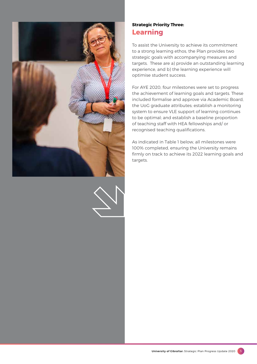



#### **Strategic Priority Three: Learning**

To assist the University to achieve its commitment to a strong learning ethos, the Plan provides two strategic goals with accompanying measures and targets. These are a) provide an outstanding learning experience, and b) the learning experience will optimise student success.

For AYE 2020, four milestones were set to progress the achievement of learning goals and targets. These included formalise and approve via Academic Board, the UoG graduate attributes; establish a monitoring system to ensure VLE support of learning continues to be optimal; and establish a baseline proportion of teaching staff with HEA fellowships and/ or recognised teaching qualifications.

As indicated in Table 1 below, all milestones were 100% completed, ensuring the University remains firmly on track to achieve its 2022 learning goals and targets.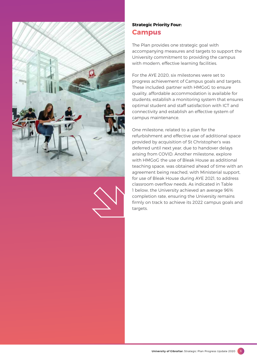



#### **Strategic Priority Four: Campus**

The Plan provides one strategic goal with accompanying measures and targets to support the University commitment to providing the campus with modern, effective learning facilities.

For the AYE 2020, six milestones were set to progress achievement of Campus goals and targets. These included: partner with HMGoG to ensure quality, affordable accommodation is available for students; establish a monitoring system that ensures optimal student and staff satisfaction with ICT and connectivity and establish an effective system of campus maintenance.

One milestone, related to a plan for the refurbishment and effective use of additional space provided by acquisition of St Christopher's was deferred until next year, due to handover delays arising from COVID. Another milestone, explore with HMGoG the use of Bleak House as additional teaching space, was obtained ahead of time with an agreement being reached, with Ministerial support, for use of Bleak House during AYE 2021, to address classroom overflow needs. As indicated in Table 1 below, the University achieved an average 96% completion rate, ensuring the University remains firmly on track to achieve its 2022 campus goals and targets.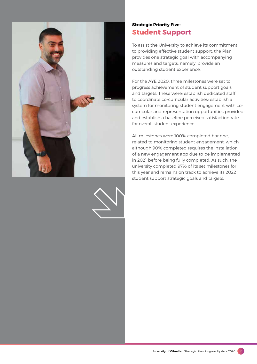



#### **Strategic Priority Five: Student Support**

To assist the University to achieve its commitment to providing effective student support, the Plan provides one strategic goal with accompanying measures and targets, namely, provide an outstanding student experience.

For the AYE 2020, three milestones were set to progress achievement of student support goals and targets. These were: establish dedicated staff to coordinate co-curricular activities; establish a system for monitoring student engagement with cocurricular and representation opportunities provided; and establish a baseline perceived satisfaction rate for overall student experience.

All milestones were 100% completed bar one, related to monitoring student engagement, which although 90% completed requires the installation of a new engagement app due to be implemented in 2021 before being fully completed. As such, the university completed 97% of its set milestones for this year and remains on track to achieve its 2022 student support strategic goals and targets.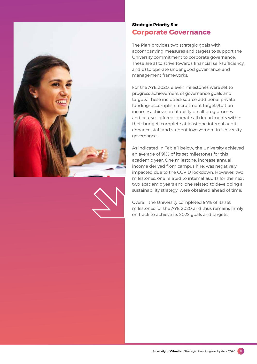



#### **Strategic Priority Six: Corporate Governance**

The Plan provides two strategic goals with accompanying measures and targets to support the University commitment to corporate governance. These are a) to strive towards financial self-sufficiency, and b) to operate under good governance and management frameworks.

For the AYE 2020, eleven milestones were set to progress achievement of governance goals and targets. These included: source additional private funding; accomplish recruitment targets/tuition income; achieve profitability on all programmes and courses offered; operate all departments within their budget; complete at least one internal audit; enhance staff and student involvement in University governance.

As indicated in Table 1 below, the University achieved an average of 91% of its set milestones for this academic year. One milestone, increase annual income derived from campus hire, was negatively impacted due to the COVID lockdown. However, two milestones, one related to internal audits for the next two academic years and one related to developing a sustainability strategy, were obtained ahead of time.

Overall, the University completed 94% of its set milestones for the AYE 2020 and thus remains firmly on track to achieve its 2022 goals and targets.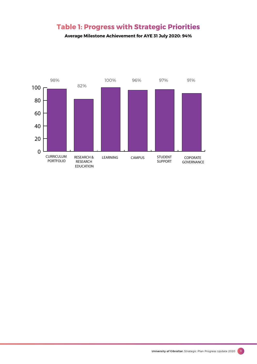#### **Table 1: Progress with Strategic Priorities**

**Average Milestone Achievement for AYE 31 July 2020: 94%**